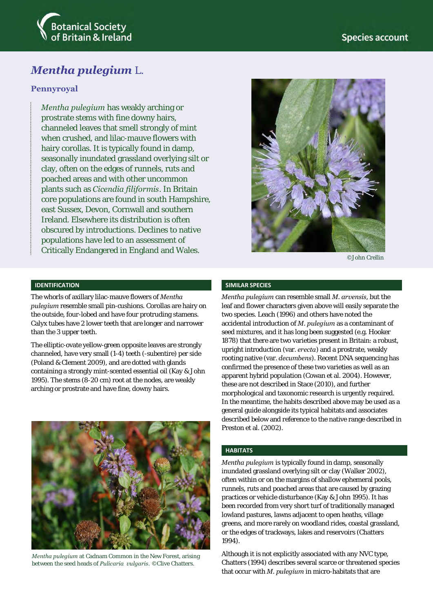

# *Mentha pulegium* L.

### **Pennyroyal**

*Mentha pulegium* has weakly arching or prostrate stems with fine downy hairs, channeled leaves that smell strongly of mint when crushed, and lilac-mauve flowers with hairy corollas. It is typically found in damp, seasonally inundated grassland overlying silt or clay, often on the edges of runnels, ruts and poached areas and with other uncommon plants such as *Cicendia filiformis*. In Britain core populations are found in south Hampshire, east Sussex, Devon, Cornwall and southern Ireland. Elsewhere its distribution is often obscured by introductions. Declines to native populations have led to an assessment of Critically Endangered in England and Wales.



©John Crellin

### **IDENTIFICATION**

The whorls of axillary lilac-mauve flowers of *Mentha pulegium* resemble small pin-cushions. Corollas are hairy on the outside, four-lobed and have four protruding stamens. Calyx tubes have 2 lower teeth that are longer and narrower than the 3 upper teeth.

The elliptic-ovate yellow-green opposite leaves are strongly channeled, have very small (1-4) teeth (-subentire) per side (Poland & Clement 2009), and are dotted with glands containing a strongly mint-scented essential oil (Kay & John 1995). The stems (8-20 cm) root at the nodes, are weakly arching or prostrate and have fine, downy hairs.



*Mentha pulegium* at Cadnam Common in the New Forest, arising between the seed heads of *Pulicaria vulgaris*. ©Clive Chatters.

#### **SIMILAR SPECIES**

*Mentha pulegium* can resemble small *M. arvensis*, but the leaf and flower characters given above will easily separate the two species. Leach (1996) and others have noted the accidental introduction of *M. pulegium* as a contaminant of seed mixtures, and it has long been suggested (e.g. Hooker 1878) that there are two varieties present in Britain: a robust, upright introduction (var. *erecta*) and a prostrate, weakly rooting native (var. *decumbens*). Recent DNA sequencing has confirmed the presence of these two varieties as well as an apparent hybrid population (Cowan et al. 2004). However, these are not described in Stace (2010), and further morphological and taxonomic research is urgently required. In the meantime, the habits described above may be used as a general guide alongside its typical habitats and associates described below and reference to the native range described in Preston et al. (2002).

### **HABITATS**

*Mentha pulegium* is typically found in damp, seasonally inundated grassland overlying silt or clay (Walker 2002), often within or on the margins of shallow ephemeral pools, runnels, ruts and poached areas that are caused by grazing practices or vehicle disturbance (Kay & John 1995). It has been recorded from very short turf of traditionally managed lowland pastures, lawns adjacent to open heaths, village greens, and more rarely on woodland rides, coastal grassland, or the edges of trackways, lakes and reservoirs (Chatters 1994).

Although it is not explicitly associated with any NVC type, Chatters (1994) describes several scarce or threatened species that occur with *M. pulegium* in micro-habitats that are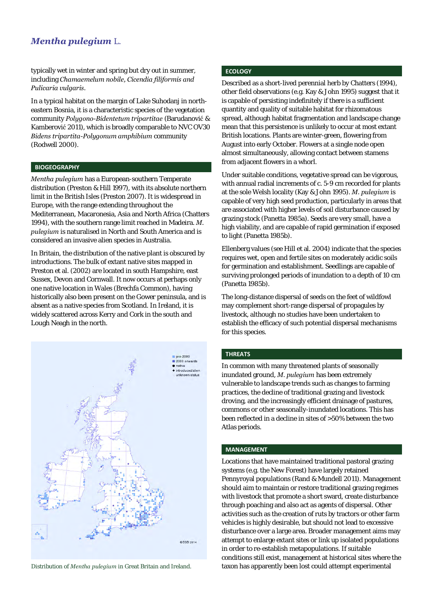## *Mentha pulegium* L.

typically wet in winter and spring but dry out in summer, including *Chamaemelum nobile, Cicendia filiformis and Pulicaria vulgaris.* 

In a typical habitat on the margin of Lake Suhodanj in northeastern Bosnia, it is a characteristic species of the vegetation community *Polygono-Bidentetum tripartitae* (Barudanović & Kamberović 2011), which is broadly comparable to NVC OV30 *Bidens tripartita-Polygonum amphibium* community (Rodwell 2000).

### **BIOGEOGRAPHY**

*Mentha pulegium* has a European-southern Temperate distribution (Preston & Hill 1997), with its absolute northern limit in the British Isles (Preston 2007). It is widespread in Europe, with the range extending throughout the Mediterranean, Macaronesia, Asia and North Africa (Chatters 1994), with the southern range limit reached in Madeira. *M. pulegium* is naturalised in North and South America and is considered an invasive alien species in Australia.

In Britain, the distribution of the native plant is obscured by introductions. The bulk of extant native sites mapped in Preston et al. (2002) are located in south Hampshire, east Sussex, Devon and Cornwall. It now occurs at perhaps only one native location in Wales (Brechfa Common), having historically also been present on the Gower peninsula, and is absent as a native species from Scotland. In Ireland, it is widely scattered across Kerry and Cork in the south and Lough Neagh in the north.



### **ECOLOGY**

Described as a short-lived perennial herb by Chatters (1994), other field observations (e.g. Kay & John 1995) suggest that it is capable of persisting indefinitely if there is a sufficient quantity and quality of suitable habitat for rhizomatous spread, although habitat fragmentation and landscape change mean that this persistence is unlikely to occur at most extant British locations. Plants are winter-green, flowering from August into early October. Flowers at a single node open almost simultaneously, allowing contact between stamens from adjacent flowers in a whorl.

Under suitable conditions, vegetative spread can be vigorous, with annual radial increments of c. 5-9 cm recorded for plants at the sole Welsh locality (Kay & John 1995). *M. pulegium* is capable of very high seed production, particularly in areas that are associated with higher levels of soil disturbance caused by grazing stock (Panetta 1985a). Seeds are very small, have a high viability, and are capable of rapid germination if exposed to light (Panetta 1985b).

Ellenberg values (see Hill et al. 2004) indicate that the species requires wet, open and fertile sites on moderately acidic soils for germination and establishment. Seedlings are capable of surviving prolonged periods of inundation to a depth of 10 cm (Panetta 1985b).

The long-distance dispersal of seeds on the feet of wildfowl may complement short-range dispersal of propagules by livestock, although no studies have been undertaken to establish the efficacy of such potential dispersal mechanisms for this species.

### **THREATS**

In common with many threatened plants of seasonally inundated ground, *M. pulegium* has been extremely vulnerable to landscape trends such as changes to farming practices, the decline of traditional grazing and livestock droving, and the increasingly efficient drainage of pastures, commons or other seasonally-inundated locations. This has been reflected in a decline in sites of >50% between the two Atlas periods.

### **MANAGEMENT**

Locations that have maintained traditional pastoral grazing systems (e.g. the New Forest) have largely retained Pennyroyal populations (Rand & Mundell 2011). Management should aim to maintain or restore traditional grazing regimes with livestock that promote a short sward, create disturbance through poaching and also act as agents of dispersal. Other activities such as the creation of ruts by tractors or other farm vehicles is highly desirable, but should not lead to excessive disturbance over a large area. Broader management aims may attempt to enlarge extant sites or link up isolated populations in order to re-establish metapopulations. If suitable conditions still exist, management at historical sites where the Distribution of *Mentha pulegium* in Great Britain and Ireland. taxon has apparently been lost could attempt experimental